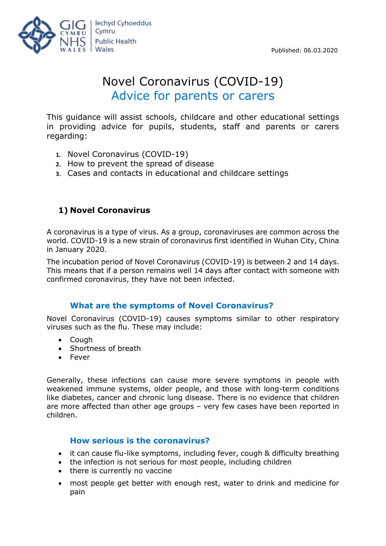

# Novel Coronavirus (COVID-19) Advice for parents or carers

This guidance will assist schools, childcare and other educational settings in providing advice for pupils, students, staff and parents or carers regarding:

- **1.** Novel Coronavirus (COVID-19)
- **2.** How to prevent the spread of disease
- **3.** Cases and contacts in educational and childcare settings

# **1) Novel Coronavirus**

A coronavirus is a type of virus. As a group, coronaviruses are common across the world. COVID-19 is a new strain of coronavirus first identified in Wuhan City, China in January 2020.

The incubation period of Novel Coronavirus (COVID-19) is between 2 and 14 days. This means that if a person remains well 14 days after contact with someone with confirmed coronavirus, they have not been infected.

### **What are the symptoms of Novel Coronavirus?**

Novel Coronavirus (COVID-19) causes symptoms similar to other respiratory viruses such as the flu. These may include:

- Cough
- Shortness of breath
- Fever

Generally, these infections can cause more severe symptoms in people with weakened immune systems, older people, and those with long-term conditions like diabetes, cancer and chronic lung disease. There is no evidence that children are more affected than other age groups – very few cases have been reported in children.

# **How serious is the coronavirus?**

- it can cause flu-like symptoms, including fever, cough & difficulty breathing
- the infection is not serious for most people, including children
- there is currently no vaccine
- most people get better with enough rest, water to drink and medicine for pain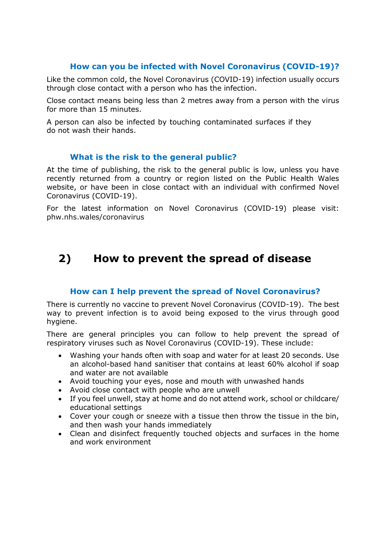### **How can you be infected with Novel Coronavirus (COVID-19)?**

Like the common cold, the Novel Coronavirus (COVID-19) infection usually occurs through close contact with a person who has the infection.

Close contact means being less than 2 metres away from a person with the virus for more than 15 minutes.

A person can also be infected by touching contaminated surfaces if they do not wash their hands.

#### **What is the risk to the general public?**

At the time of publishing, the risk to the general public is low, unless you have recently returned from a country or region listed on the Public Health Wales website, or have been in close contact with an individual with confirmed Novel Coronavirus (COVID-19).

For the latest information on Novel Coronavirus (COVID-19) please visit: phw.nhs.wales/coronavirus

# **2) How to prevent the spread of disease**

### **How can I help prevent the spread of Novel Coronavirus?**

There is currently no vaccine to prevent Novel Coronavirus (COVID-19). The best way to prevent infection is to avoid being exposed to the virus through good hygiene.

There are general principles you can follow to help prevent the spread of respiratory viruses such as Novel Coronavirus (COVID-19). These include:

- Washing your hands often with soap and water for at least 20 seconds. Use an alcohol-based hand sanitiser that contains at least 60% alcohol if soap and water are not available
- Avoid touching your eyes, nose and mouth with unwashed hands
- Avoid close contact with people who are unwell
- If you feel unwell, stay at home and do not attend work, school or childcare/ educational settings
- Cover your cough or sneeze with a tissue then throw the tissue in the bin, and then wash your hands immediately
- Clean and disinfect frequently touched objects and surfaces in the home and work environment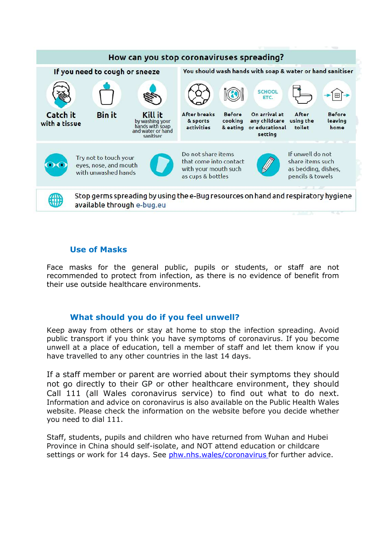

#### **Use of Masks**

Face masks for the general public, pupils or students, or staff are not recommended to protect from infection, as there is no evidence of benefit from their use outside healthcare environments.

### **What should you do if you feel unwell?**

Keep away from others or stay at home to stop the infection spreading. Avoid public transport if you think you have symptoms of coronavirus. If you become unwell at a place of education, tell a member of staff and let them know if you have travelled to any other countries in the last 14 days.

If a staff member or parent are worried about their symptoms they should not go directly to their GP or other healthcare environment, they should Call 111 (all Wales coronavirus service) to find out what to do next. Information and advice on coronavirus is also available on the [Public Health Wales](https://eur01.safelinks.protection.outlook.com/?url=https%3A%2F%2Fphw.nhs.wales%2Ftopics%2Flatest-information-on-novel-coronavirus-covid-19%2F&data=02%7C01%7CDebbie.Tynen%40gov.wales%7Cf97af3aa1f60412f69cf08d7c0faf761%7Ca2cc36c592804ae78887d06dab89216b%7C0%7C0%7C637190056426577518&sdata=zQa93iRYFuvkjS%2FZblVYuSFYLFeeYMgkh5w9Yd7yKMs%3D&reserved=0)  [website.](https://eur01.safelinks.protection.outlook.com/?url=https%3A%2F%2Fphw.nhs.wales%2Ftopics%2Flatest-information-on-novel-coronavirus-covid-19%2F&data=02%7C01%7CDebbie.Tynen%40gov.wales%7Cf97af3aa1f60412f69cf08d7c0faf761%7Ca2cc36c592804ae78887d06dab89216b%7C0%7C0%7C637190056426577518&sdata=zQa93iRYFuvkjS%2FZblVYuSFYLFeeYMgkh5w9Yd7yKMs%3D&reserved=0) Please check the information on the website before you decide whether you need to dial 111.

Staff, students, pupils and children who have returned from Wuhan and Hubei Province in China should self-isolate, and NOT attend education or childcare settings or work for 14 days. See phw.nhs.wales/coronavirus for further advice.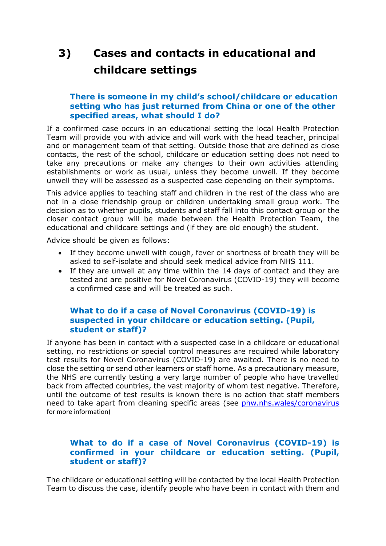# **3) Cases and contacts in educational and childcare settings**

#### **There is someone in my child's school/childcare or education setting who has just returned from China or one of the other specified areas, what should I do?**

If a confirmed case occurs in an educational setting the local Health Protection Team will provide you with advice and will work with the head teacher, principal and or management team of that setting. Outside those that are defined as close contacts, the rest of the school, childcare or education setting does not need to take any precautions or make any changes to their own activities attending establishments or work as usual, unless they become unwell. If they become unwell they will be assessed as a suspected case depending on their symptoms.

This advice applies to teaching staff and children in the rest of the class who are not in a close friendship group or children undertaking small group work. The decision as to whether pupils, students and staff fall into this contact group or the closer contact group will be made between the Health Protection Team, the educational and childcare settings and (if they are old enough) the student.

Advice should be given as follows:

- If they become unwell with cough, fever or shortness of breath they will be asked to self-isolate and should seek medical advice from NHS 111.
- If they are unwell at any time within the 14 days of contact and they are tested and are positive for Novel Coronavirus (COVID-19) they will become a confirmed case and will be treated as such.

### **What to do if a case of Novel Coronavirus (COVID-19) is suspected in your childcare or education setting. (Pupil, student or staff)?**

If anyone has been in contact with a suspected case in a childcare or educational setting, no restrictions or special control measures are required while laboratory test results for Novel Coronavirus (COVID-19) are awaited. There is no need to close the setting or send other learners or staff home. As a precautionary measure, the NHS are currently testing a very large number of people who have travelled back from affected countries, the vast majority of whom test negative. Therefore, until the outcome of test results is known there is no action that staff members need to take apart from cleaning specific areas (see phw.nhs.wales/coronavirus for more information)

### **What to do if a case of Novel Coronavirus (COVID-19) is confirmed in your childcare or education setting. (Pupil, student or staff)?**

The childcare or educational setting will be contacted by the local Health Protection Team to discuss the case, identify people who have been in contact with them and